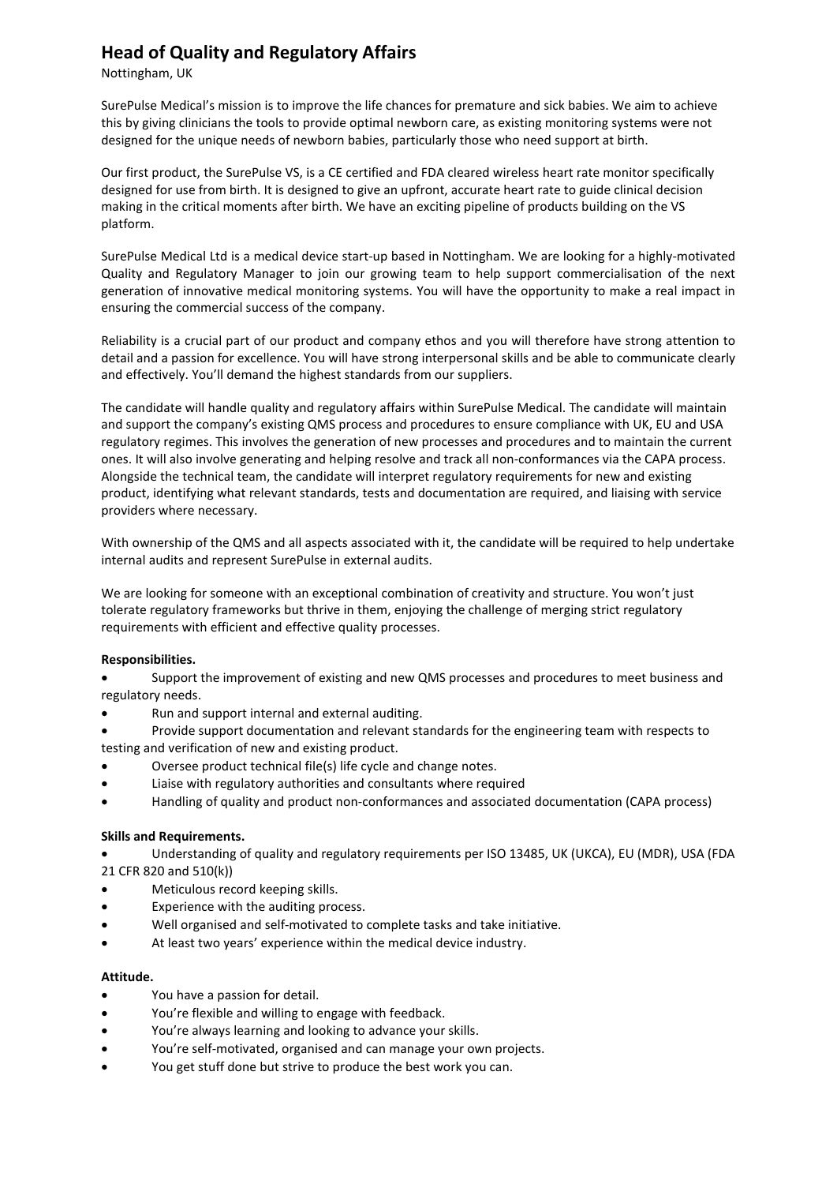# **Head of Quality and Regulatory Affairs**

Nottingham, UK

SurePulse Medical's mission is to improve the life chances for premature and sick babies. We aim to achieve this by giving clinicians the tools to provide optimal newborn care, as existing monitoring systems were not designed for the unique needs of newborn babies, particularly those who need support at birth.

Our first product, the SurePulse VS, is a CE certified and FDA cleared wireless heart rate monitor specifically designed for use from birth. It is designed to give an upfront, accurate heart rate to guide clinical decision making in the critical moments after birth. We have an exciting pipeline of products building on the VS platform.

SurePulse Medical Ltd is a medical device start-up based in Nottingham. We are looking for a highly-motivated Quality and Regulatory Manager to join our growing team to help support commercialisation of the next generation of innovative medical monitoring systems. You will have the opportunity to make a real impact in ensuring the commercial success of the company.

Reliability is a crucial part of our product and company ethos and you will therefore have strong attention to detail and a passion for excellence. You will have strong interpersonal skills and be able to communicate clearly and effectively. You'll demand the highest standards from our suppliers.

The candidate will handle quality and regulatory affairs within SurePulse Medical. The candidate will maintain and support the company's existing QMS process and procedures to ensure compliance with UK, EU and USA regulatory regimes. This involves the generation of new processes and procedures and to maintain the current ones. It will also involve generating and helping resolve and track all non-conformances via the CAPA process. Alongside the technical team, the candidate will interpret regulatory requirements for new and existing product, identifying what relevant standards, tests and documentation are required, and liaising with service providers where necessary.

With ownership of the QMS and all aspects associated with it, the candidate will be required to help undertake internal audits and represent SurePulse in external audits.

We are looking for someone with an exceptional combination of creativity and structure. You won't just tolerate regulatory frameworks but thrive in them, enjoying the challenge of merging strict regulatory requirements with efficient and effective quality processes.

## **Responsibilities.**

• Support the improvement of existing and new QMS processes and procedures to meet business and regulatory needs.

- Run and support internal and external auditing.
- Provide support documentation and relevant standards for the engineering team with respects to testing and verification of new and existing product.
- Oversee product technical file(s) life cycle and change notes.
- Liaise with regulatory authorities and consultants where required
- Handling of quality and product non-conformances and associated documentation (CAPA process)

#### **Skills and Requirements.**

- Understanding of quality and regulatory requirements per ISO 13485, UK (UKCA), EU (MDR), USA (FDA 21 CFR 820 and 510(k))
- Meticulous record keeping skills.
- Experience with the auditing process.
- Well organised and self-motivated to complete tasks and take initiative.
- At least two years' experience within the medical device industry.

#### **Attitude.**

- You have a passion for detail.
- You're flexible and willing to engage with feedback.
- You're always learning and looking to advance your skills.
- You're self-motivated, organised and can manage your own projects.
- You get stuff done but strive to produce the best work you can.